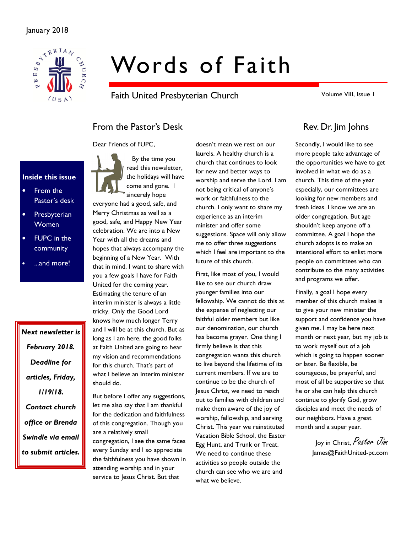

# Words of Faith

Faith United Presbyterian Church

Volume VIII, Issue 1

# From the Pastor's Desk Rev. Dr. Jim Johns

Dear Friends of FUPC,

Inside this issue

- From the Pastor's desk
- **Presbyterian** Women
- FUPC in the community
- ...and more!

Next newsletter is February 2018. Deadline for articles, Friday, 1/19/18. Contact church office or Brenda Swindle via email to submit articles.

 By the time you read this newsletter, the holidays will have come and gone. I sincerely hope

everyone had a good, safe, and Merry Christmas as well as a good, safe, and Happy New Year celebration. We are into a New Year with all the dreams and hopes that always accompany the beginning of a New Year. With that in mind, I want to share with you a few goals I have for Faith United for the coming year. Estimating the tenure of an interim minister is always a little tricky. Only the Good Lord knows how much longer Terry and I will be at this church. But as long as I am here, the good folks at Faith United are going to hear my vision and recommendations for this church. That's part of what I believe an Interim minister should do.

But before I offer any suggestions, let me also say that I am thankful for the dedication and faithfulness of this congregation. Though you are a relatively small congregation, I see the same faces every Sunday and I so appreciate the faithfulness you have shown in attending worship and in your service to Jesus Christ. But that

doesn't mean we rest on our laurels. A healthy church is a church that continues to look for new and better ways to worship and serve the Lord. I am not being critical of anyone's work or faithfulness to the church. I only want to share my experience as an interim minister and offer some suggestions. Space will only allow me to offer three suggestions which I feel are important to the future of this church.

First, like most of you, I would like to see our church draw younger families into our fellowship. We cannot do this at the expense of neglecting our faithful older members but like our denomination, our church has become grayer. One thing I firmly believe is that this congregation wants this church to live beyond the lifetime of its current members. If we are to continue to be the church of Jesus Christ, we need to reach out to families with children and make them aware of the joy of worship, fellowship, and serving Christ. This year we reinstituted Vacation Bible School, the Easter Egg Hunt, and Trunk or Treat. We need to continue these activities so people outside the church can see who we are and what we believe.

Secondly, I would like to see more people take advantage of the opportunities we have to get involved in what we do as a church. This time of the year especially, our committees are looking for new members and fresh ideas. I know we are an older congregation. But age shouldn't keep anyone off a committee. A goal I hope the church adopts is to make an intentional effort to enlist more people on committees who can contribute to the many activities and programs we offer.

Finally, a goal I hope every member of this church makes is to give your new minister the support and confidence you have given me. I may be here next month or next year, but my job is to work myself out of a job which is going to happen sooner or later. Be flexible, be courageous, be prayerful, and most of all be supportive so that he or she can help this church continue to glorify God, grow disciples and meet the needs of our neighbors. Have a great month and a super year.

> Joy in Christ, Pastor Jim James@FaithUnited-pc.com

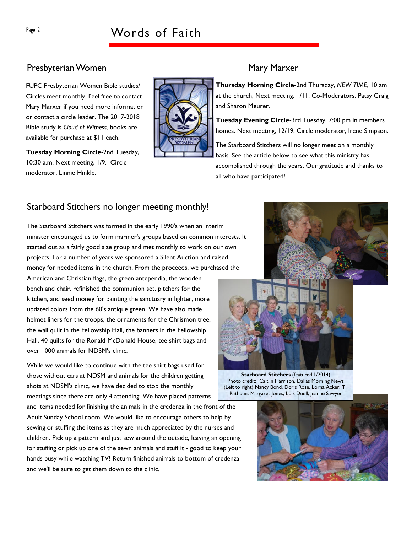### Presbyterian Women Mary Marxer

FUPC Presbyterian Women Bible studies/ Circles meet monthly. Feel free to contact Mary Marxer if you need more information or contact a circle leader. The 2017-2018 Bible study is Cloud of Witness, books are available for purchase at \$11 each.

Tuesday Morning Circle-2nd Tuesday, 10:30 a.m. Next meeting, 1/9. Circle moderator, Linnie Hinkle.

Thursday Morning Circle-2nd Thursday, NEW TIME, 10 am at the church, Next meeting, 1/11. Co-Moderators, Patsy Craig and Sharon Meurer.

Tuesday Evening Circle-3rd Tuesday, 7:00 pm in members homes. Next meeting, 12/19, Circle moderator, Irene Simpson.

The Starboard Stitchers will no longer meet on a monthly basis. See the article below to see what this ministry has accomplished through the years. Our gratitude and thanks to all who have participated!

## Starboard Stitchers no longer meeting monthly!

The Starboard Stitchers was formed in the early 1990's when an interim minister encouraged us to form mariner's groups based on common interests. It started out as a fairly good size group and met monthly to work on our own projects. For a number of years we sponsored a Silent Auction and raised money for needed items in the church. From the proceeds, we purchased the American and Christian flags, the green antependia, the wooden

bench and chair, refinished the communion set, pitchers for the kitchen, and seed money for painting the sanctuary in lighter, more updated colors from the 60's antique green. We have also made helmet liners for the troops, the ornaments for the Chrismon tree, the wall quilt in the Fellowship Hall, the banners in the Fellowship Hall, 40 quilts for the Ronald McDonald House, tee shirt bags and over 1000 animals for NDSM's clinic.

While we would like to continue with the tee shirt bags used for those without cars at NDSM and animals for the children getting shots at NDSM's clinic, we have decided to stop the monthly meetings since there are only 4 attending. We have placed patterns

and items needed for finishing the animals in the credenza in the front of the Adult Sunday School room. We would like to encourage others to help by sewing or stuffing the items as they are much appreciated by the nurses and children. Pick up a pattern and just sew around the outside, leaving an opening for stuffing or pick up one of the sewn animals and stuff it - good to keep your hands busy while watching TV! Return finished animals to bottom of credenza and we'll be sure to get them down to the clinic.





Starboard Stitchers (featured 1/2014) Photo credit: Caitlin Harrison, Dallas Morning News (Left to right) Nancy Bond, Doris Rose, Lorna Acker, Til Rathbun, Margaret Jones, Lois Duell, Jeanne Sawyer

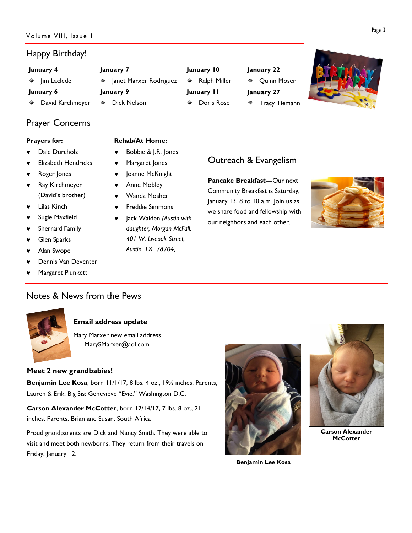## Happy Birthday!

| January 4              | January 7                | January 10        | January 22           |  |
|------------------------|--------------------------|-------------------|----------------------|--|
| lim Laclede            | * Janet Marxer Rodriguez | Ralph Miller<br>秦 | <b>※ Quinn Moser</b> |  |
| January 9<br>January 6 |                          | January II        | January 27           |  |
| David Kirchmeyer<br>豢  | Dick Nelson              | Doris Rose        | <b>Tracy Tiemann</b> |  |

# Prayer Concerns

#### Prayers for:

- Dale Durcholz
- **Elizabeth Hendricks**
- Roger Jones
- Ray Kirchmeyer (David's brother)
- **Lilas Kinch**
- Sugie Maxfield
- ♥ Sherrard Family
- Glen Sparks
- Alan Swope
- Dennis Van Deventer
- Margaret Plunkett

#### Rehab/At Home:

- ♥ Bobbie & J.R. Jones
- ♥ Margaret Jones
- ♥ Joanne McKnight
- Anne Mobley
- ♥ Wanda Mosher
- Freddie Simmons
- Jack Walden (Austin with daughter, Morgan McFall, 401 W. Liveoak Street, Austin, TX 78704)

# Outreach & Evangelism

Pancake Breakfast—Our next Community Breakfast is Saturday, January 13, 8 to 10 a.m. Join us as we share food and fellowship with our neighbors and each other.



# Notes & News from the Pews



#### Email address update

Mary Marxer new email address MarySMarxer@aol.com

#### Meet 2 new grandbabies!

Benjamin Lee Kosa, born 11/1/17, 8 lbs. 4 oz., 191/2 inches. Parents, Lauren & Erik. Big Sis: Genevieve "Evie." Washington D.C.

Carson Alexander McCotter, born 12/14/17, 7 lbs. 8 oz., 21 inches. Parents, Brian and Susan. South Africa

Proud grandparents are Dick and Nancy Smith. They were able to visit and meet both newborns. They return from their travels on Friday, January 12.



Benjamin Lee Kosa



Carson Alexander **McCotter**